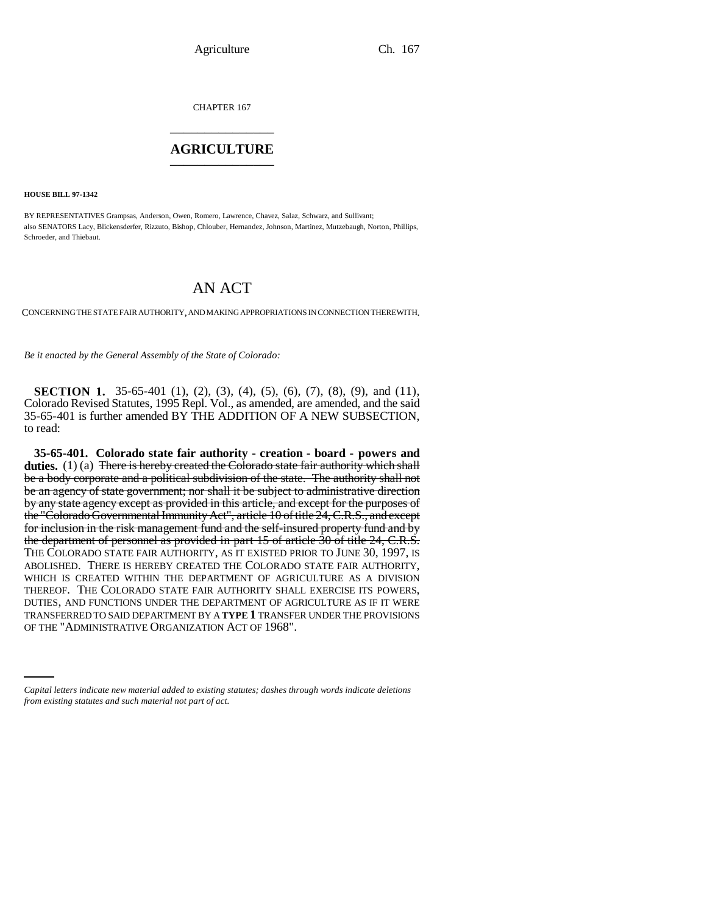CHAPTER 167 \_\_\_\_\_\_\_\_\_\_\_\_\_\_\_

### **AGRICULTURE** \_\_\_\_\_\_\_\_\_\_\_\_\_\_\_

**HOUSE BILL 97-1342**

BY REPRESENTATIVES Grampsas, Anderson, Owen, Romero, Lawrence, Chavez, Salaz, Schwarz, and Sullivant; also SENATORS Lacy, Blickensderfer, Rizzuto, Bishop, Chlouber, Hernandez, Johnson, Martinez, Mutzebaugh, Norton, Phillips, Schroeder, and Thiebaut.

# AN ACT

CONCERNING THE STATE FAIR AUTHORITY, AND MAKING APPROPRIATIONS IN CONNECTION THEREWITH.

*Be it enacted by the General Assembly of the State of Colorado:*

**SECTION 1.** 35-65-401 (1), (2), (3), (4), (5), (6), (7), (8), (9), and (11), Colorado Revised Statutes, 1995 Repl. Vol., as amended, are amended, and the said 35-65-401 is further amended BY THE ADDITION OF A NEW SUBSECTION, to read:

TRANSFERRED TO SAID DEPARTMENT BY A **TYPE 1** TRANSFER UNDER THE PROVISIONS **35-65-401. Colorado state fair authority - creation - board - powers and duties.** (1) (a) <del>There is hereby created the Colorado state fair authority which shall</del> be a body corporate and a political subdivision of the state. The authority shall not be an agency of state government; nor shall it be subject to administrative direction by any state agency except as provided in this article, and except for the purposes of the "Colorado Governmental Immunity Act", article 10 of title 24, C.R.S., and except for inclusion in the risk management fund and the self-insured property fund and by the department of personnel as provided in part 15 of article 30 of title 24, C.R.S. THE COLORADO STATE FAIR AUTHORITY, AS IT EXISTED PRIOR TO JUNE 30, 1997, IS ABOLISHED. THERE IS HEREBY CREATED THE COLORADO STATE FAIR AUTHORITY, WHICH IS CREATED WITHIN THE DEPARTMENT OF AGRICULTURE AS A DIVISION THEREOF. THE COLORADO STATE FAIR AUTHORITY SHALL EXERCISE ITS POWERS, DUTIES, AND FUNCTIONS UNDER THE DEPARTMENT OF AGRICULTURE AS IF IT WERE OF THE "ADMINISTRATIVE ORGANIZATION ACT OF 1968".

*Capital letters indicate new material added to existing statutes; dashes through words indicate deletions from existing statutes and such material not part of act.*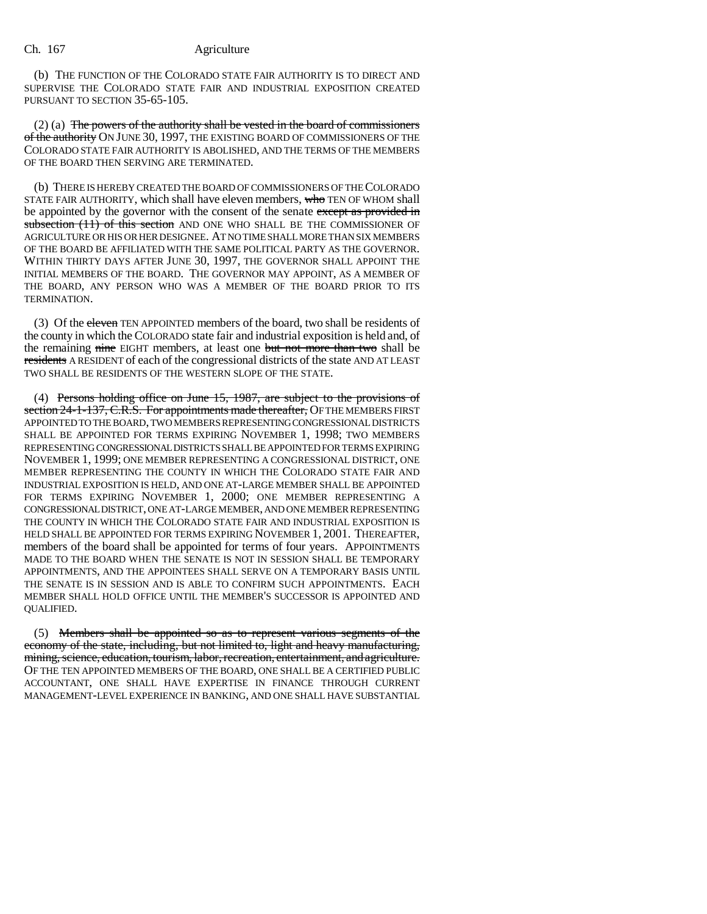(b) THE FUNCTION OF THE COLORADO STATE FAIR AUTHORITY IS TO DIRECT AND SUPERVISE THE COLORADO STATE FAIR AND INDUSTRIAL EXPOSITION CREATED PURSUANT TO SECTION 35-65-105.

(2) (a) The powers of the authority shall be vested in the board of commissioners of the authority ON JUNE 30, 1997, THE EXISTING BOARD OF COMMISSIONERS OF THE COLORADO STATE FAIR AUTHORITY IS ABOLISHED, AND THE TERMS OF THE MEMBERS OF THE BOARD THEN SERVING ARE TERMINATED.

(b) THERE IS HEREBY CREATED THE BOARD OF COMMISSIONERS OF THE COLORADO STATE FAIR AUTHORITY, which shall have eleven members, who TEN OF WHOM shall be appointed by the governor with the consent of the senate except as provided in subsection (11) of this section AND ONE WHO SHALL BE THE COMMISSIONER OF AGRICULTURE OR HIS OR HER DESIGNEE. AT NO TIME SHALL MORE THAN SIX MEMBERS OF THE BOARD BE AFFILIATED WITH THE SAME POLITICAL PARTY AS THE GOVERNOR. WITHIN THIRTY DAYS AFTER JUNE 30, 1997, THE GOVERNOR SHALL APPOINT THE INITIAL MEMBERS OF THE BOARD. THE GOVERNOR MAY APPOINT, AS A MEMBER OF THE BOARD, ANY PERSON WHO WAS A MEMBER OF THE BOARD PRIOR TO ITS TERMINATION.

(3) Of the eleven TEN APPOINTED members of the board, two shall be residents of the county in which the COLORADO state fair and industrial exposition is held and, of the remaining nine EIGHT members, at least one but not more than two shall be residents A RESIDENT of each of the congressional districts of the state AND AT LEAST TWO SHALL BE RESIDENTS OF THE WESTERN SLOPE OF THE STATE.

(4) Persons holding office on June 15, 1987, are subject to the provisions of section 24-1-137, C.R.S. For appointments made thereafter, OF THE MEMBERS FIRST APPOINTED TO THE BOARD, TWO MEMBERS REPRESENTING CONGRESSIONAL DISTRICTS SHALL BE APPOINTED FOR TERMS EXPIRING NOVEMBER 1, 1998; TWO MEMBERS REPRESENTING CONGRESSIONAL DISTRICTS SHALL BE APPOINTED FOR TERMS EXPIRING NOVEMBER 1, 1999; ONE MEMBER REPRESENTING A CONGRESSIONAL DISTRICT, ONE MEMBER REPRESENTING THE COUNTY IN WHICH THE COLORADO STATE FAIR AND INDUSTRIAL EXPOSITION IS HELD, AND ONE AT-LARGE MEMBER SHALL BE APPOINTED FOR TERMS EXPIRING NOVEMBER 1, 2000; ONE MEMBER REPRESENTING A CONGRESSIONAL DISTRICT, ONE AT-LARGE MEMBER, AND ONE MEMBER REPRESENTING THE COUNTY IN WHICH THE COLORADO STATE FAIR AND INDUSTRIAL EXPOSITION IS HELD SHALL BE APPOINTED FOR TERMS EXPIRING NOVEMBER 1, 2001. THEREAFTER, members of the board shall be appointed for terms of four years. APPOINTMENTS MADE TO THE BOARD WHEN THE SENATE IS NOT IN SESSION SHALL BE TEMPORARY APPOINTMENTS, AND THE APPOINTEES SHALL SERVE ON A TEMPORARY BASIS UNTIL THE SENATE IS IN SESSION AND IS ABLE TO CONFIRM SUCH APPOINTMENTS. EACH MEMBER SHALL HOLD OFFICE UNTIL THE MEMBER'S SUCCESSOR IS APPOINTED AND QUALIFIED.

(5) Members shall be appointed so as to represent various segments of the economy of the state, including, but not limited to, light and heavy manufacturing, mining, science, education, tourism, labor, recreation, entertainment, and agriculture. OF THE TEN APPOINTED MEMBERS OF THE BOARD, ONE SHALL BE A CERTIFIED PUBLIC ACCOUNTANT, ONE SHALL HAVE EXPERTISE IN FINANCE THROUGH CURRENT MANAGEMENT-LEVEL EXPERIENCE IN BANKING, AND ONE SHALL HAVE SUBSTANTIAL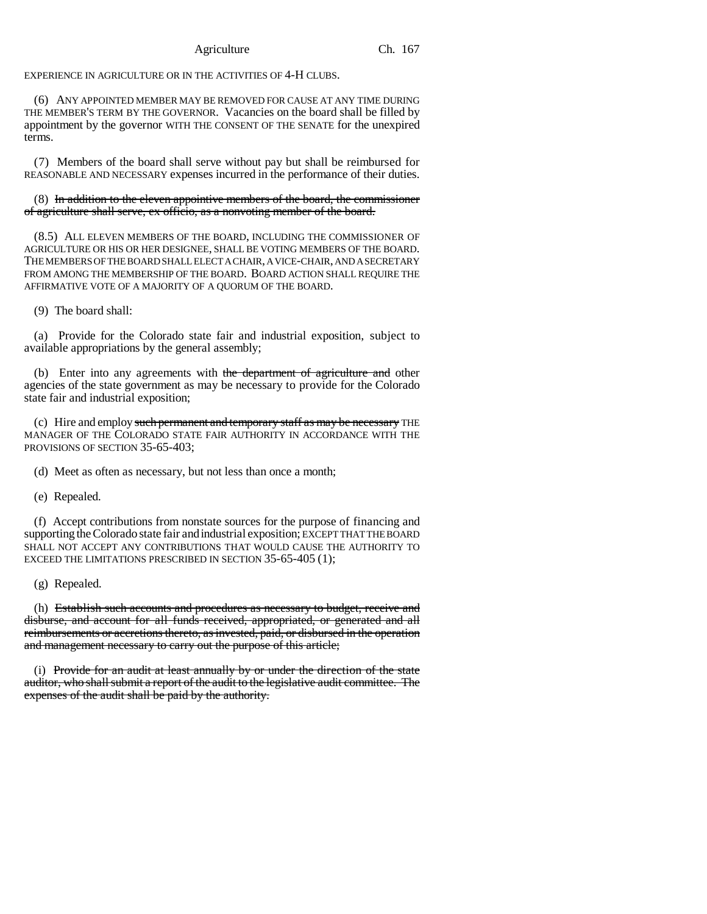EXPERIENCE IN AGRICULTURE OR IN THE ACTIVITIES OF 4-H CLUBS.

(6) ANY APPOINTED MEMBER MAY BE REMOVED FOR CAUSE AT ANY TIME DURING THE MEMBER'S TERM BY THE GOVERNOR. Vacancies on the board shall be filled by appointment by the governor WITH THE CONSENT OF THE SENATE for the unexpired terms.

(7) Members of the board shall serve without pay but shall be reimbursed for REASONABLE AND NECESSARY expenses incurred in the performance of their duties.

# (8) In addition to the eleven appointive members of the board, the commissioner of agriculture shall serve, ex officio, as a nonvoting member of the board.

(8.5) ALL ELEVEN MEMBERS OF THE BOARD, INCLUDING THE COMMISSIONER OF AGRICULTURE OR HIS OR HER DESIGNEE, SHALL BE VOTING MEMBERS OF THE BOARD. THE MEMBERS OF THE BOARD SHALL ELECT A CHAIR, A VICE-CHAIR, AND A SECRETARY FROM AMONG THE MEMBERSHIP OF THE BOARD. BOARD ACTION SHALL REQUIRE THE AFFIRMATIVE VOTE OF A MAJORITY OF A QUORUM OF THE BOARD.

(9) The board shall:

(a) Provide for the Colorado state fair and industrial exposition, subject to available appropriations by the general assembly;

(b) Enter into any agreements with the department of agriculture and other agencies of the state government as may be necessary to provide for the Colorado state fair and industrial exposition;

(c) Hire and employ such permanent and temporary staff as may be necessary THE MANAGER OF THE COLORADO STATE FAIR AUTHORITY IN ACCORDANCE WITH THE PROVISIONS OF SECTION 35-65-403;

(d) Meet as often as necessary, but not less than once a month;

(e) Repealed.

(f) Accept contributions from nonstate sources for the purpose of financing and supporting the Colorado state fair and industrial exposition; EXCEPT THAT THE BOARD SHALL NOT ACCEPT ANY CONTRIBUTIONS THAT WOULD CAUSE THE AUTHORITY TO EXCEED THE LIMITATIONS PRESCRIBED IN SECTION 35-65-405 (1);

(g) Repealed.

(h) Establish such accounts and procedures as necessary to budget, receive and disburse, and account for all funds received, appropriated, or generated and all reimbursements or accretions thereto, as invested, paid, or disbursed in the operation and management necessary to carry out the purpose of this article;

(i) Provide for an audit at least annually by or under the direction of the state auditor, who shall submit a report of the audit to the legislative audit committee. The expenses of the audit shall be paid by the authority.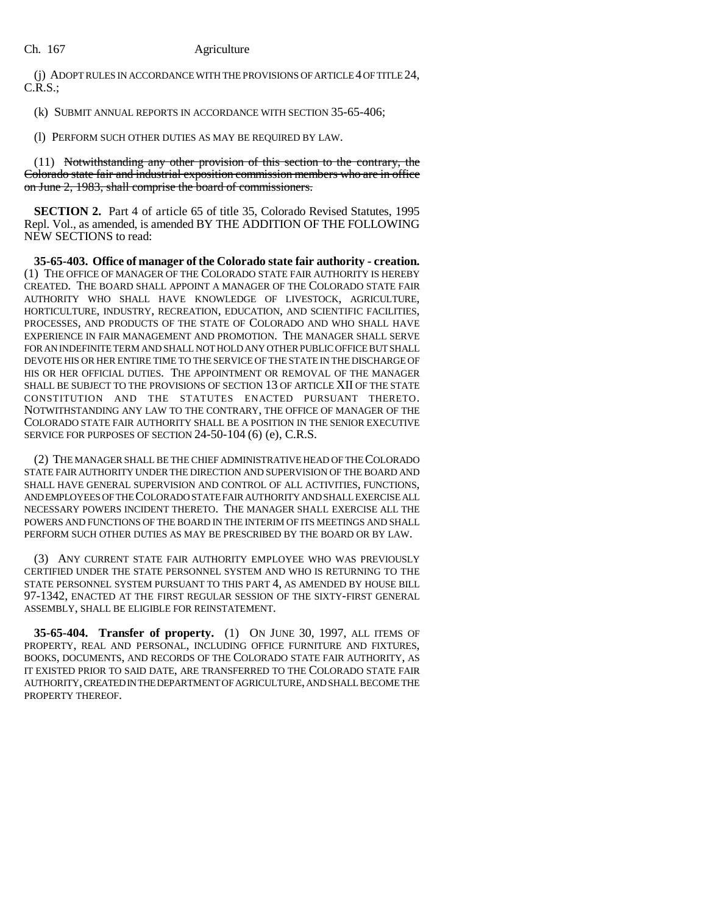(j) ADOPT RULES IN ACCORDANCE WITH THE PROVISIONS OF ARTICLE 4 OF TITLE 24, C.R.S.;

(k) SUBMIT ANNUAL REPORTS IN ACCORDANCE WITH SECTION 35-65-406;

(l) PERFORM SUCH OTHER DUTIES AS MAY BE REQUIRED BY LAW.

(11) Notwithstanding any other provision of this section to the contrary, the Colorado state fair and industrial exposition commission members who are in office on June 2, 1983, shall comprise the board of commissioners.

**SECTION 2.** Part 4 of article 65 of title 35, Colorado Revised Statutes, 1995 Repl. Vol., as amended, is amended BY THE ADDITION OF THE FOLLOWING NEW SECTIONS to read:

**35-65-403. Office of manager of the Colorado state fair authority - creation.** (1) THE OFFICE OF MANAGER OF THE COLORADO STATE FAIR AUTHORITY IS HEREBY CREATED. THE BOARD SHALL APPOINT A MANAGER OF THE COLORADO STATE FAIR AUTHORITY WHO SHALL HAVE KNOWLEDGE OF LIVESTOCK, AGRICULTURE, HORTICULTURE, INDUSTRY, RECREATION, EDUCATION, AND SCIENTIFIC FACILITIES, PROCESSES, AND PRODUCTS OF THE STATE OF COLORADO AND WHO SHALL HAVE EXPERIENCE IN FAIR MANAGEMENT AND PROMOTION. THE MANAGER SHALL SERVE FOR AN INDEFINITE TERM AND SHALL NOT HOLD ANY OTHER PUBLIC OFFICE BUT SHALL DEVOTE HIS OR HER ENTIRE TIME TO THE SERVICE OF THE STATE IN THE DISCHARGE OF HIS OR HER OFFICIAL DUTIES. THE APPOINTMENT OR REMOVAL OF THE MANAGER SHALL BE SUBJECT TO THE PROVISIONS OF SECTION 13 OF ARTICLE XII OF THE STATE CONSTITUTION AND THE STATUTES ENACTED PURSUANT THERETO. NOTWITHSTANDING ANY LAW TO THE CONTRARY, THE OFFICE OF MANAGER OF THE COLORADO STATE FAIR AUTHORITY SHALL BE A POSITION IN THE SENIOR EXECUTIVE SERVICE FOR PURPOSES OF SECTION 24-50-104 (6) (e), C.R.S.

(2) THE MANAGER SHALL BE THE CHIEF ADMINISTRATIVE HEAD OF THE COLORADO STATE FAIR AUTHORITY UNDER THE DIRECTION AND SUPERVISION OF THE BOARD AND SHALL HAVE GENERAL SUPERVISION AND CONTROL OF ALL ACTIVITIES, FUNCTIONS, AND EMPLOYEES OF THE COLORADO STATE FAIR AUTHORITY AND SHALL EXERCISE ALL NECESSARY POWERS INCIDENT THERETO. THE MANAGER SHALL EXERCISE ALL THE POWERS AND FUNCTIONS OF THE BOARD IN THE INTERIM OF ITS MEETINGS AND SHALL PERFORM SUCH OTHER DUTIES AS MAY BE PRESCRIBED BY THE BOARD OR BY LAW.

(3) ANY CURRENT STATE FAIR AUTHORITY EMPLOYEE WHO WAS PREVIOUSLY CERTIFIED UNDER THE STATE PERSONNEL SYSTEM AND WHO IS RETURNING TO THE STATE PERSONNEL SYSTEM PURSUANT TO THIS PART 4, AS AMENDED BY HOUSE BILL 97-1342, ENACTED AT THE FIRST REGULAR SESSION OF THE SIXTY-FIRST GENERAL ASSEMBLY, SHALL BE ELIGIBLE FOR REINSTATEMENT.

**35-65-404. Transfer of property.** (1) ON JUNE 30, 1997, ALL ITEMS OF PROPERTY, REAL AND PERSONAL, INCLUDING OFFICE FURNITURE AND FIXTURES, BOOKS, DOCUMENTS, AND RECORDS OF THE COLORADO STATE FAIR AUTHORITY, AS IT EXISTED PRIOR TO SAID DATE, ARE TRANSFERRED TO THE COLORADO STATE FAIR AUTHORITY, CREATED IN THE DEPARTMENT OF AGRICULTURE, AND SHALL BECOME THE PROPERTY THEREOF.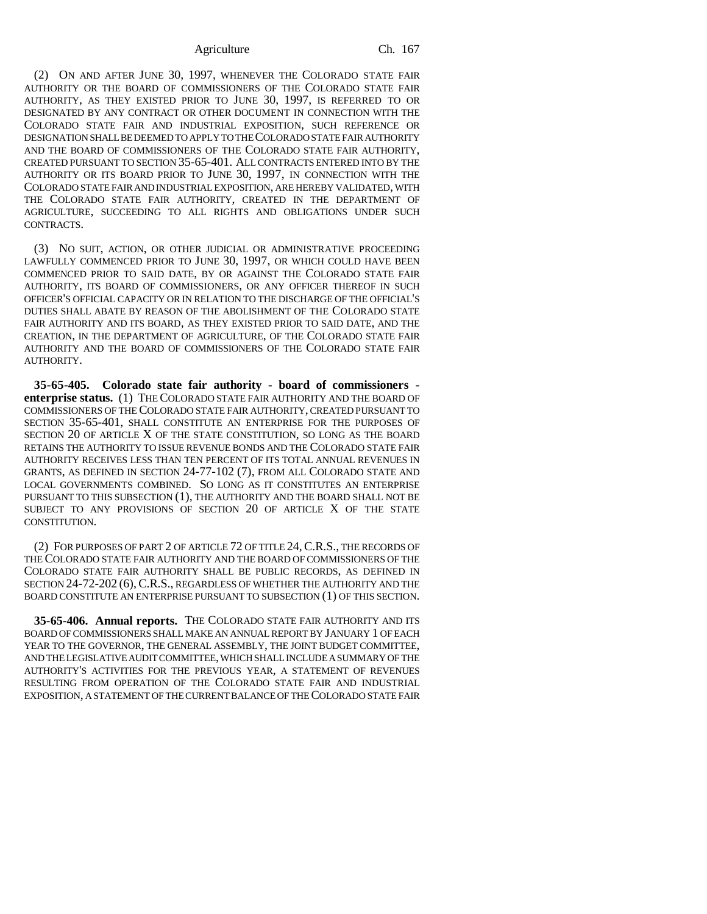(2) ON AND AFTER JUNE 30, 1997, WHENEVER THE COLORADO STATE FAIR AUTHORITY OR THE BOARD OF COMMISSIONERS OF THE COLORADO STATE FAIR AUTHORITY, AS THEY EXISTED PRIOR TO JUNE 30, 1997, IS REFERRED TO OR DESIGNATED BY ANY CONTRACT OR OTHER DOCUMENT IN CONNECTION WITH THE COLORADO STATE FAIR AND INDUSTRIAL EXPOSITION, SUCH REFERENCE OR DESIGNATION SHALL BE DEEMED TO APPLY TO THE COLORADO STATE FAIR AUTHORITY AND THE BOARD OF COMMISSIONERS OF THE COLORADO STATE FAIR AUTHORITY, CREATED PURSUANT TO SECTION 35-65-401. ALL CONTRACTS ENTERED INTO BY THE AUTHORITY OR ITS BOARD PRIOR TO JUNE 30, 1997, IN CONNECTION WITH THE COLORADO STATE FAIR AND INDUSTRIAL EXPOSITION, ARE HEREBY VALIDATED, WITH THE COLORADO STATE FAIR AUTHORITY, CREATED IN THE DEPARTMENT OF AGRICULTURE, SUCCEEDING TO ALL RIGHTS AND OBLIGATIONS UNDER SUCH CONTRACTS.

(3) NO SUIT, ACTION, OR OTHER JUDICIAL OR ADMINISTRATIVE PROCEEDING LAWFULLY COMMENCED PRIOR TO JUNE 30, 1997, OR WHICH COULD HAVE BEEN COMMENCED PRIOR TO SAID DATE, BY OR AGAINST THE COLORADO STATE FAIR AUTHORITY, ITS BOARD OF COMMISSIONERS, OR ANY OFFICER THEREOF IN SUCH OFFICER'S OFFICIAL CAPACITY OR IN RELATION TO THE DISCHARGE OF THE OFFICIAL'S DUTIES SHALL ABATE BY REASON OF THE ABOLISHMENT OF THE COLORADO STATE FAIR AUTHORITY AND ITS BOARD, AS THEY EXISTED PRIOR TO SAID DATE, AND THE CREATION, IN THE DEPARTMENT OF AGRICULTURE, OF THE COLORADO STATE FAIR AUTHORITY AND THE BOARD OF COMMISSIONERS OF THE COLORADO STATE FAIR AUTHORITY.

**35-65-405. Colorado state fair authority - board of commissioners enterprise status.** (1) THE COLORADO STATE FAIR AUTHORITY AND THE BOARD OF COMMISSIONERS OF THE COLORADO STATE FAIR AUTHORITY, CREATED PURSUANT TO SECTION 35-65-401, SHALL CONSTITUTE AN ENTERPRISE FOR THE PURPOSES OF SECTION 20 OF ARTICLE X OF THE STATE CONSTITUTION, SO LONG AS THE BOARD RETAINS THE AUTHORITY TO ISSUE REVENUE BONDS AND THE COLORADO STATE FAIR AUTHORITY RECEIVES LESS THAN TEN PERCENT OF ITS TOTAL ANNUAL REVENUES IN GRANTS, AS DEFINED IN SECTION 24-77-102 (7), FROM ALL COLORADO STATE AND LOCAL GOVERNMENTS COMBINED. SO LONG AS IT CONSTITUTES AN ENTERPRISE PURSUANT TO THIS SUBSECTION (1), THE AUTHORITY AND THE BOARD SHALL NOT BE SUBJECT TO ANY PROVISIONS OF SECTION 20 OF ARTICLE X OF THE STATE CONSTITUTION.

(2) FOR PURPOSES OF PART 2 OF ARTICLE 72 OF TITLE 24,C.R.S., THE RECORDS OF THE COLORADO STATE FAIR AUTHORITY AND THE BOARD OF COMMISSIONERS OF THE COLORADO STATE FAIR AUTHORITY SHALL BE PUBLIC RECORDS, AS DEFINED IN SECTION 24-72-202 (6),C.R.S., REGARDLESS OF WHETHER THE AUTHORITY AND THE BOARD CONSTITUTE AN ENTERPRISE PURSUANT TO SUBSECTION (1) OF THIS SECTION.

**35-65-406. Annual reports.** THE COLORADO STATE FAIR AUTHORITY AND ITS BOARD OF COMMISSIONERS SHALL MAKE AN ANNUAL REPORT BY JANUARY 1 OF EACH YEAR TO THE GOVERNOR, THE GENERAL ASSEMBLY, THE JOINT BUDGET COMMITTEE, AND THE LEGISLATIVE AUDIT COMMITTEE, WHICH SHALL INCLUDE A SUMMARY OF THE AUTHORITY'S ACTIVITIES FOR THE PREVIOUS YEAR, A STATEMENT OF REVENUES RESULTING FROM OPERATION OF THE COLORADO STATE FAIR AND INDUSTRIAL EXPOSITION, A STATEMENT OF THE CURRENT BALANCE OF THE COLORADO STATE FAIR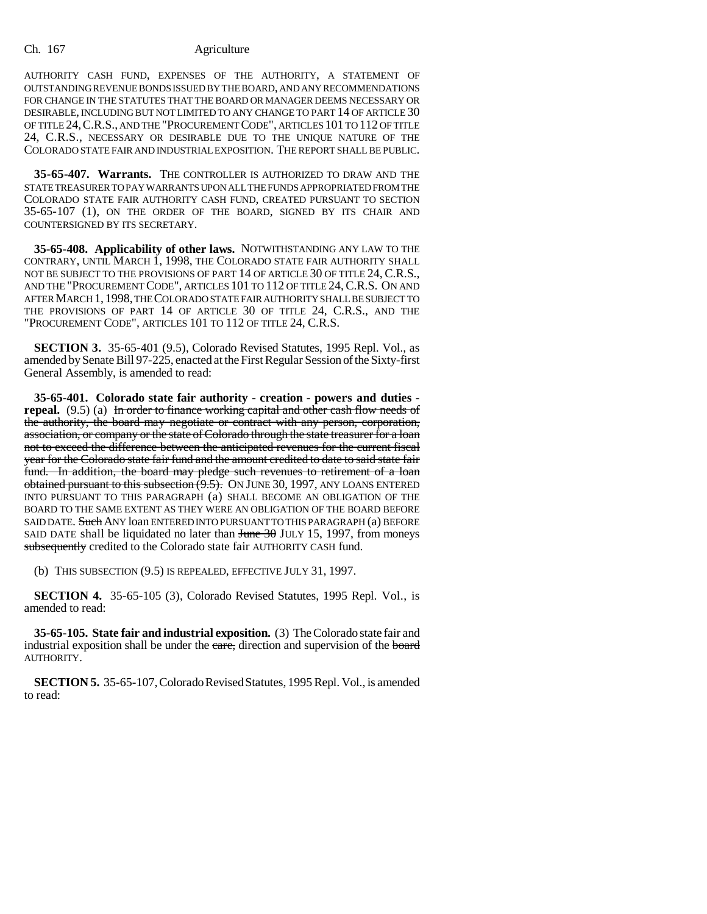AUTHORITY CASH FUND, EXPENSES OF THE AUTHORITY, A STATEMENT OF OUTSTANDING REVENUE BONDS ISSUED BY THE BOARD, AND ANY RECOMMENDATIONS FOR CHANGE IN THE STATUTES THAT THE BOARD OR MANAGER DEEMS NECESSARY OR DESIRABLE, INCLUDING BUT NOT LIMITED TO ANY CHANGE TO PART 14 OF ARTICLE 30 OF TITLE 24,C.R.S., AND THE "PROCUREMENT CODE", ARTICLES 101 TO 112 OF TITLE 24, C.R.S., NECESSARY OR DESIRABLE DUE TO THE UNIQUE NATURE OF THE COLORADO STATE FAIR AND INDUSTRIAL EXPOSITION. THE REPORT SHALL BE PUBLIC.

**35-65-407. Warrants.** THE CONTROLLER IS AUTHORIZED TO DRAW AND THE STATE TREASURER TO PAY WARRANTS UPON ALL THE FUNDS APPROPRIATED FROM THE COLORADO STATE FAIR AUTHORITY CASH FUND, CREATED PURSUANT TO SECTION 35-65-107 (1), ON THE ORDER OF THE BOARD, SIGNED BY ITS CHAIR AND COUNTERSIGNED BY ITS SECRETARY.

**35-65-408. Applicability of other laws.** NOTWITHSTANDING ANY LAW TO THE CONTRARY, UNTIL MARCH 1, 1998, THE COLORADO STATE FAIR AUTHORITY SHALL NOT BE SUBJECT TO THE PROVISIONS OF PART 14 OF ARTICLE 30 OF TITLE 24, C.R.S., AND THE "PROCUREMENT CODE", ARTICLES 101 TO 112 OF TITLE 24, C.R.S. ON AND AFTER MARCH 1, 1998, THE COLORADO STATE FAIR AUTHORITY SHALL BE SUBJECT TO THE PROVISIONS OF PART 14 OF ARTICLE 30 OF TITLE 24, C.R.S., AND THE "PROCUREMENT CODE", ARTICLES 101 TO 112 OF TITLE 24, C.R.S.

**SECTION 3.** 35-65-401 (9.5), Colorado Revised Statutes, 1995 Repl. Vol., as amended by Senate Bill 97-225, enacted at the First Regular Session of the Sixty-first General Assembly, is amended to read:

**35-65-401. Colorado state fair authority - creation - powers and duties repeal.** (9.5) (a) In order to finance working capital and other cash flow needs of the authority, the board may negotiate or contract with any person, corporation, association, or company or the state of Colorado through the state treasurer for a loan not to exceed the difference between the anticipated revenues for the current fiscal year for the Colorado state fair fund and the amount credited to date to said state fair fund. In addition, the board may pledge such revenues to retirement of a loan obtained pursuant to this subsection  $(9.5)$ . On JUNE 30, 1997, ANY LOANS ENTERED INTO PURSUANT TO THIS PARAGRAPH (a) SHALL BECOME AN OBLIGATION OF THE BOARD TO THE SAME EXTENT AS THEY WERE AN OBLIGATION OF THE BOARD BEFORE SAID DATE. Such ANY loan ENTERED INTO PURSUANT TO THIS PARAGRAPH (a) BEFORE SAID DATE shall be liquidated no later than  $\frac{\text{Hence}}{30}$  JULY 15, 1997, from moneys subsequently credited to the Colorado state fair AUTHORITY CASH fund.

(b) THIS SUBSECTION (9.5) IS REPEALED, EFFECTIVE JULY 31, 1997.

**SECTION 4.** 35-65-105 (3), Colorado Revised Statutes, 1995 Repl. Vol., is amended to read:

**35-65-105. State fair and industrial exposition.** (3) The Colorado state fair and industrial exposition shall be under the care, direction and supervision of the board AUTHORITY.

**SECTION 5.** 35-65-107, Colorado Revised Statutes, 1995 Repl. Vol., is amended to read: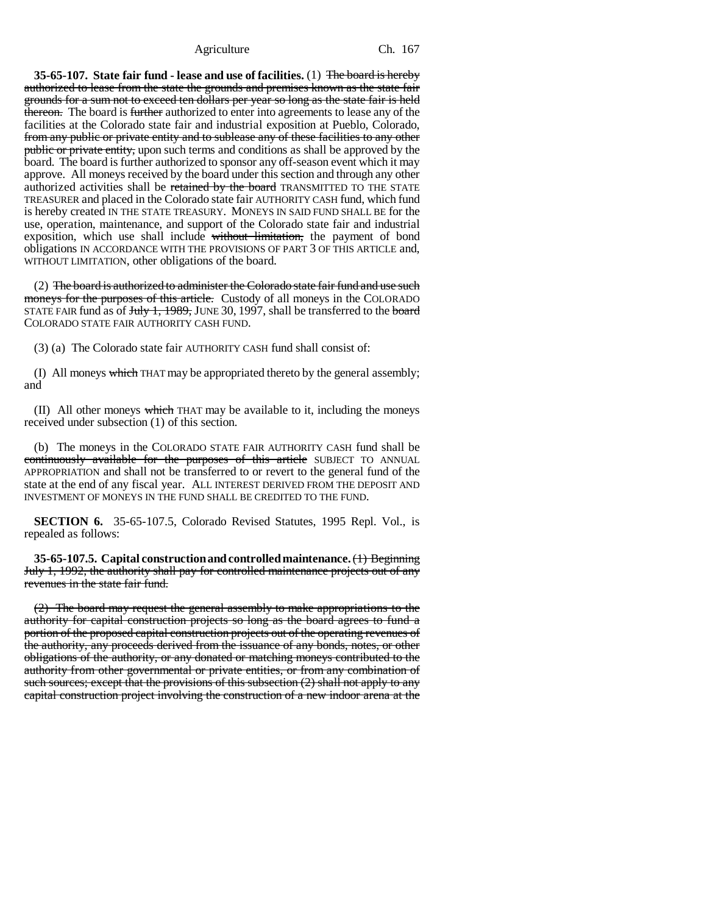**35-65-107. State fair fund - lease and use of facilities.** (1) The board is hereby authorized to lease from the state the grounds and premises known as the state fair grounds for a sum not to exceed ten dollars per year so long as the state fair is held thereon. The board is further authorized to enter into agreements to lease any of the facilities at the Colorado state fair and industrial exposition at Pueblo, Colorado, from any public or private entity and to sublease any of these facilities to any other public or private entity, upon such terms and conditions as shall be approved by the board. The board is further authorized to sponsor any off-season event which it may approve. All moneys received by the board under this section and through any other authorized activities shall be retained by the board TRANSMITTED TO THE STATE TREASURER and placed in the Colorado state fair AUTHORITY CASH fund, which fund is hereby created IN THE STATE TREASURY. MONEYS IN SAID FUND SHALL BE for the use, operation, maintenance, and support of the Colorado state fair and industrial exposition, which use shall include without limitation, the payment of bond obligations IN ACCORDANCE WITH THE PROVISIONS OF PART 3 OF THIS ARTICLE and, WITHOUT LIMITATION, other obligations of the board.

(2) The board is authorized to administer the Colorado state fair fund and use such moneys for the purposes of this article. Custody of all moneys in the COLORADO STATE FAIR fund as of  $July 1, 1989$ , JUNE 30, 1997, shall be transferred to the board COLORADO STATE FAIR AUTHORITY CASH FUND.

(3) (a) The Colorado state fair AUTHORITY CASH fund shall consist of:

(I) All moneys which THAT may be appropriated thereto by the general assembly; and

 $(II)$  All other moneys which THAT may be available to it, including the moneys received under subsection (1) of this section.

(b) The moneys in the COLORADO STATE FAIR AUTHORITY CASH fund shall be continuously available for the purposes of this article SUBJECT TO ANNUAL APPROPRIATION and shall not be transferred to or revert to the general fund of the state at the end of any fiscal year. ALL INTEREST DERIVED FROM THE DEPOSIT AND INVESTMENT OF MONEYS IN THE FUND SHALL BE CREDITED TO THE FUND.

**SECTION 6.** 35-65-107.5, Colorado Revised Statutes, 1995 Repl. Vol., is repealed as follows:

**35-65-107.5. Capital construction and controlled maintenance.** (1) Beginning July 1, 1992, the authority shall pay for controlled maintenance projects out of any revenues in the state fair fund.

(2) The board may request the general assembly to make appropriations to the authority for capital construction projects so long as the board agrees to fund a portion of the proposed capital construction projects out of the operating revenues of the authority, any proceeds derived from the issuance of any bonds, notes, or other obligations of the authority, or any donated or matching moneys contributed to the authority from other governmental or private entities, or from any combination of such sources; except that the provisions of this subsection  $(2)$  shall not apply to any capital construction project involving the construction of a new indoor arena at the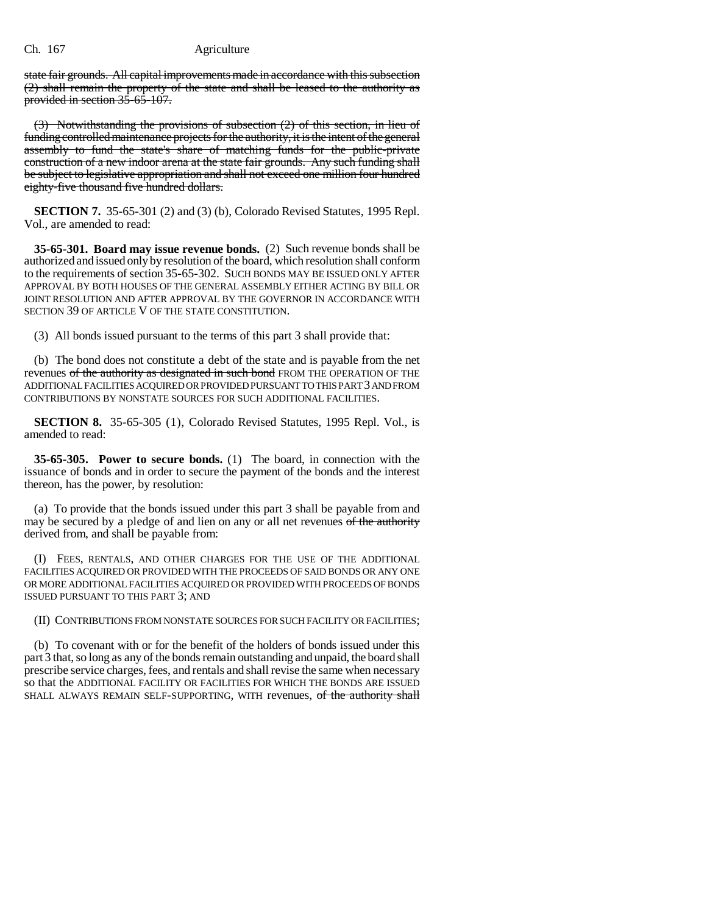state fair grounds. All capital improvements made in accordance with this subsection (2) shall remain the property of the state and shall be leased to the authority as provided in section 35-65-107.

(3) Notwithstanding the provisions of subsection (2) of this section, in lieu of funding controlled maintenance projects for the authority, it is the intent of the general assembly to fund the state's share of matching funds for the public-private construction of a new indoor arena at the state fair grounds. Any such funding shall be subject to legislative appropriation and shall not exceed one million four hundred eighty-five thousand five hundred dollars.

**SECTION 7.** 35-65-301 (2) and (3) (b), Colorado Revised Statutes, 1995 Repl. Vol., are amended to read:

**35-65-301. Board may issue revenue bonds.** (2) Such revenue bonds shall be authorized and issued only by resolution of the board, which resolution shall conform to the requirements of section 35-65-302. SUCH BONDS MAY BE ISSUED ONLY AFTER APPROVAL BY BOTH HOUSES OF THE GENERAL ASSEMBLY EITHER ACTING BY BILL OR JOINT RESOLUTION AND AFTER APPROVAL BY THE GOVERNOR IN ACCORDANCE WITH SECTION 39 OF ARTICLE V OF THE STATE CONSTITUTION.

(3) All bonds issued pursuant to the terms of this part 3 shall provide that:

(b) The bond does not constitute a debt of the state and is payable from the net revenues of the authority as designated in such bond FROM THE OPERATION OF THE ADDITIONAL FACILITIES ACQUIRED OR PROVIDED PURSUANT TO THIS PART 3 AND FROM CONTRIBUTIONS BY NONSTATE SOURCES FOR SUCH ADDITIONAL FACILITIES.

**SECTION 8.** 35-65-305 (1), Colorado Revised Statutes, 1995 Repl. Vol., is amended to read:

**35-65-305. Power to secure bonds.** (1) The board, in connection with the issuance of bonds and in order to secure the payment of the bonds and the interest thereon, has the power, by resolution:

(a) To provide that the bonds issued under this part 3 shall be payable from and may be secured by a pledge of and lien on any or all net revenues of the authority derived from, and shall be payable from:

(I) FEES, RENTALS, AND OTHER CHARGES FOR THE USE OF THE ADDITIONAL FACILITIES ACQUIRED OR PROVIDED WITH THE PROCEEDS OF SAID BONDS OR ANY ONE OR MORE ADDITIONAL FACILITIES ACQUIRED OR PROVIDED WITH PROCEEDS OF BONDS ISSUED PURSUANT TO THIS PART 3; AND

(II) CONTRIBUTIONS FROM NONSTATE SOURCES FOR SUCH FACILITY OR FACILITIES;

(b) To covenant with or for the benefit of the holders of bonds issued under this part 3 that, so long as any of the bonds remain outstanding and unpaid, the board shall prescribe service charges, fees, and rentals and shall revise the same when necessary so that the ADDITIONAL FACILITY OR FACILITIES FOR WHICH THE BONDS ARE ISSUED SHALL ALWAYS REMAIN SELF-SUPPORTING, WITH revenues, of the authority shall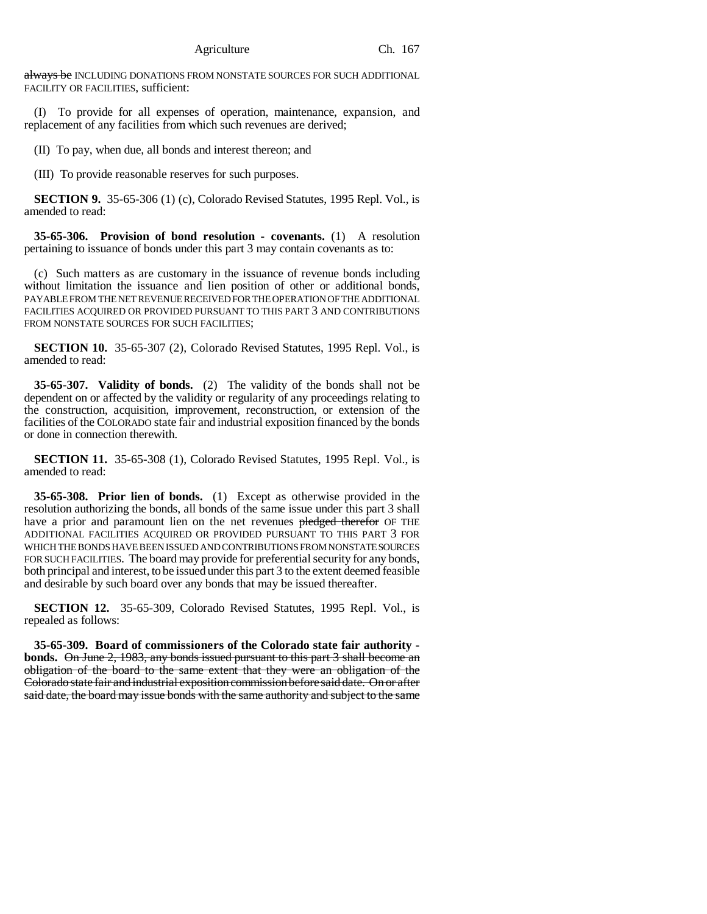always be INCLUDING DONATIONS FROM NONSTATE SOURCES FOR SUCH ADDITIONAL FACILITY OR FACILITIES, sufficient:

(I) To provide for all expenses of operation, maintenance, expansion, and replacement of any facilities from which such revenues are derived;

(II) To pay, when due, all bonds and interest thereon; and

(III) To provide reasonable reserves for such purposes.

**SECTION 9.** 35-65-306 (1) (c), Colorado Revised Statutes, 1995 Repl. Vol., is amended to read:

**35-65-306. Provision of bond resolution - covenants.** (1) A resolution pertaining to issuance of bonds under this part 3 may contain covenants as to:

(c) Such matters as are customary in the issuance of revenue bonds including without limitation the issuance and lien position of other or additional bonds, PAYABLE FROM THE NET REVENUE RECEIVED FOR THE OPERATION OF THE ADDITIONAL FACILITIES ACQUIRED OR PROVIDED PURSUANT TO THIS PART 3 AND CONTRIBUTIONS FROM NONSTATE SOURCES FOR SUCH FACILITIES:

**SECTION 10.** 35-65-307 (2), Colorado Revised Statutes, 1995 Repl. Vol., is amended to read:

**35-65-307. Validity of bonds.** (2) The validity of the bonds shall not be dependent on or affected by the validity or regularity of any proceedings relating to the construction, acquisition, improvement, reconstruction, or extension of the facilities of the COLORADO state fair and industrial exposition financed by the bonds or done in connection therewith.

**SECTION 11.** 35-65-308 (1), Colorado Revised Statutes, 1995 Repl. Vol., is amended to read:

**35-65-308. Prior lien of bonds.** (1) Except as otherwise provided in the resolution authorizing the bonds, all bonds of the same issue under this part 3 shall have a prior and paramount lien on the net revenues pledged therefor OF THE ADDITIONAL FACILITIES ACQUIRED OR PROVIDED PURSUANT TO THIS PART 3 FOR WHICH THE BONDS HAVE BEEN ISSUED AND CONTRIBUTIONS FROM NONSTATE SOURCES FOR SUCH FACILITIES. The board may provide for preferential security for any bonds, both principal and interest, to be issued under this part 3 to the extent deemed feasible and desirable by such board over any bonds that may be issued thereafter.

**SECTION 12.** 35-65-309, Colorado Revised Statutes, 1995 Repl. Vol., is repealed as follows:

**35-65-309. Board of commissioners of the Colorado state fair authority bonds.** On June 2, 1983, any bonds issued pursuant to this part 3 shall become an obligation of the board to the same extent that they were an obligation of the Colorado state fair and industrial exposition commission before said date. On or after said date, the board may issue bonds with the same authority and subject to the same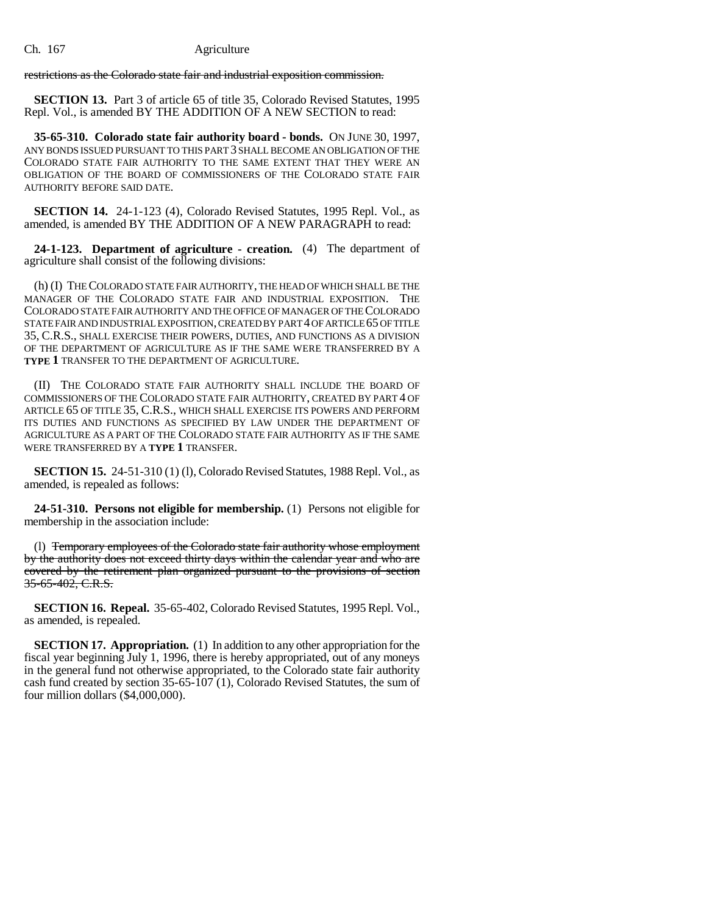restrictions as the Colorado state fair and industrial exposition commission.

**SECTION 13.** Part 3 of article 65 of title 35, Colorado Revised Statutes, 1995 Repl. Vol., is amended BY THE ADDITION OF A NEW SECTION to read:

**35-65-310. Colorado state fair authority board - bonds.** ON JUNE 30, 1997, ANY BONDS ISSUED PURSUANT TO THIS PART 3 SHALL BECOME AN OBLIGATION OF THE COLORADO STATE FAIR AUTHORITY TO THE SAME EXTENT THAT THEY WERE AN OBLIGATION OF THE BOARD OF COMMISSIONERS OF THE COLORADO STATE FAIR AUTHORITY BEFORE SAID DATE.

**SECTION 14.** 24-1-123 (4), Colorado Revised Statutes, 1995 Repl. Vol., as amended, is amended BY THE ADDITION OF A NEW PARAGRAPH to read:

**24-1-123. Department of agriculture - creation.** (4) The department of agriculture shall consist of the following divisions:

(h) (I) THE COLORADO STATE FAIR AUTHORITY, THE HEAD OF WHICH SHALL BE THE MANAGER OF THE COLORADO STATE FAIR AND INDUSTRIAL EXPOSITION. THE COLORADO STATE FAIR AUTHORITY AND THE OFFICE OF MANAGER OF THE COLORADO STATE FAIR AND INDUSTRIAL EXPOSITION, CREATED BY PART 4 OF ARTICLE 65 OF TITLE 35, C.R.S., SHALL EXERCISE THEIR POWERS, DUTIES, AND FUNCTIONS AS A DIVISION OF THE DEPARTMENT OF AGRICULTURE AS IF THE SAME WERE TRANSFERRED BY A **TYPE 1** TRANSFER TO THE DEPARTMENT OF AGRICULTURE.

(II) THE COLORADO STATE FAIR AUTHORITY SHALL INCLUDE THE BOARD OF COMMISSIONERS OF THE COLORADO STATE FAIR AUTHORITY, CREATED BY PART 4 OF ARTICLE 65 OF TITLE 35, C.R.S., WHICH SHALL EXERCISE ITS POWERS AND PERFORM ITS DUTIES AND FUNCTIONS AS SPECIFIED BY LAW UNDER THE DEPARTMENT OF AGRICULTURE AS A PART OF THE COLORADO STATE FAIR AUTHORITY AS IF THE SAME WERE TRANSFERRED BY A **TYPE 1** TRANSFER.

**SECTION 15.** 24-51-310 (1) (1), Colorado Revised Statutes, 1988 Repl. Vol., as amended, is repealed as follows:

**24-51-310. Persons not eligible for membership.** (1) Persons not eligible for membership in the association include:

(l) Temporary employees of the Colorado state fair authority whose employment by the authority does not exceed thirty days within the calendar year and who are covered by the retirement plan organized pursuant to the provisions of section 35-65-402, C.R.S.

**SECTION 16. Repeal.** 35-65-402, Colorado Revised Statutes, 1995 Repl. Vol., as amended, is repealed.

**SECTION 17. Appropriation.** (1) In addition to any other appropriation for the fiscal year beginning July 1, 1996, there is hereby appropriated, out of any moneys in the general fund not otherwise appropriated, to the Colorado state fair authority cash fund created by section 35-65-107 (1), Colorado Revised Statutes, the sum of four million dollars (\$4,000,000).